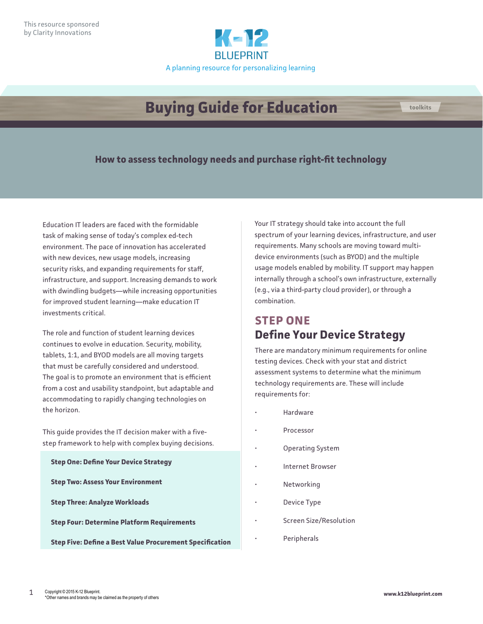

# **Buying Guide for Education**

### **How to assess technology needs and purchase right-fit technology**

Education IT leaders are faced with the formidable task of making sense of today's complex ed-tech environment. The pace of innovation has accelerated with new devices, new usage models, increasing security risks, and expanding requirements for staff, infrastructure, and support. Increasing demands to work with dwindling budgets—while increasing opportunities for improved student learning—make education IT investments critical.

The role and function of student learning devices continues to evolve in education. Security, mobility, tablets, 1:1, and BYOD models are all moving targets that must be carefully considered and understood. The goal is to promote an environment that is efficient from a cost and usability standpoint, but adaptable and accommodating to rapidly changing technologies on the horizon.

This guide provides the IT decision maker with a fivestep framework to help with complex buying decisions.

| <b>Step One: Define Your Device Strategy</b>      |                                                                 |
|---------------------------------------------------|-----------------------------------------------------------------|
| <b>Step Two: Assess Your Environment</b>          |                                                                 |
| <b>Step Three: Analyze Workloads</b>              |                                                                 |
| <b>Step Four: Determine Platform Requirements</b> |                                                                 |
|                                                   | <b>Step Five: Define a Best Value Procurement Specification</b> |
|                                                   |                                                                 |

Your IT strategy should take into account the full spectrum of your learning devices, infrastructure, and user requirements. Many schools are moving toward multidevice environments (such as BYOD) and the multiple usage models enabled by mobility. IT support may happen internally through a school's own infrastructure, externally (e.g., via a third-party cloud provider), or through a combination.

## **STEP ONE Define Your Device Strategy**

There are mandatory minimum requirements for online testing devices. Check with your stat and district assessment systems to determine what the minimum technology requirements are. These will include requirements for:

- **Hardware**
- Processor
- Operating System
- Internet Browser
- **Networking**
- Device Type
- Screen Size/Resolution
- **Peripherals**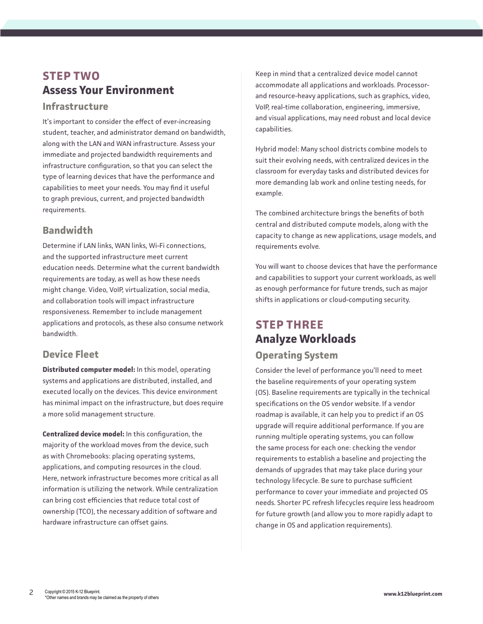## **STEP TWO Assess Your Environment**

#### **Infrastructure**

It's important to consider the effect of ever-increasing student, teacher, and administrator demand on bandwidth, along with the LAN and WAN infrastructure. Assess your immediate and projected bandwidth requirements and infrastructure configuration, so that you can select the type of learning devices that have the performance and capabilities to meet your needs. You may find it useful to graph previous, current, and projected bandwidth requirements.

## **Bandwidth**

Determine if LAN links, WAN links, Wi-Fi connections, and the supported infrastructure meet current education needs. Determine what the current bandwidth requirements are today, as well as how these needs might change. Video, VoIP, virtualization, social media, and collaboration tools will impact infrastructure responsiveness. Remember to include management applications and protocols, as these also consume network bandwidth.

### **Device Fleet**

**Distributed computer model:** In this model, operating systems and applications are distributed, installed, and executed locally on the devices. This device environment has minimal impact on the infrastructure, but does require a more solid management structure.

**Centralized device model:** In this configuration, the majority of the workload moves from the device, such as with Chromebooks: placing operating systems, applications, and computing resources in the cloud. Here, network infrastructure becomes more critical as all information is utilizing the network. While centralization can bring cost efficiencies that reduce total cost of ownership (TCO), the necessary addition of software and hardware infrastructure can offset gains.

Keep in mind that a centralized device model cannot accommodate all applications and workloads. Processorand resource-heavy applications, such as graphics, video, VoIP, real-time collaboration, engineering, immersive, and visual applications, may need robust and local device capabilities.

Hybrid model: Many school districts combine models to suit their evolving needs, with centralized devices in the classroom for everyday tasks and distributed devices for more demanding lab work and online testing needs, for example.

The combined architecture brings the benefits of both central and distributed compute models, along with the capacity to change as new applications, usage models, and requirements evolve.

You will want to choose devices that have the performance and capabilities to support your current workloads, as well as enough performance for future trends, such as major shifts in applications or cloud-computing security.

## **STEP THREE Analyze Workloads**

### **Operating System**

Consider the level of performance you'll need to meet the baseline requirements of your operating system (OS). Baseline requirements are typically in the technical specifications on the OS vendor website. If a vendor roadmap is available, it can help you to predict if an OS upgrade will require additional performance. If you are running multiple operating systems, you can follow the same process for each one: checking the vendor requirements to establish a baseline and projecting the demands of upgrades that may take place during your technology lifecycle. Be sure to purchase sufficient performance to cover your immediate and projected OS needs. Shorter PC refresh lifecycles require less headroom for future growth (and allow you to more rapidly adapt to change in OS and application requirements).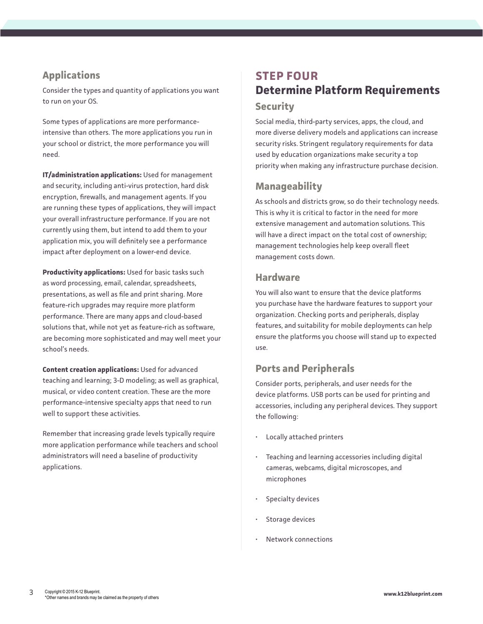## **Applications**

Consider the types and quantity of applications you want to run on your OS.

Some types of applications are more performanceintensive than others. The more applications you run in your school or district, the more performance you will need.

**IT/administration applications:** Used for management and security, including anti-virus protection, hard disk encryption, firewalls, and management agents. If you are running these types of applications, they will impact your overall infrastructure performance. If you are not currently using them, but intend to add them to your application mix, you will definitely see a performance impact after deployment on a lower-end device.

**Productivity applications:** Used for basic tasks such as word processing, email, calendar, spreadsheets, presentations, as well as file and print sharing. More feature-rich upgrades may require more platform performance. There are many apps and cloud-based solutions that, while not yet as feature-rich as software, are becoming more sophisticated and may well meet your school's needs.

**Content creation applications:** Used for advanced teaching and learning; 3-D modeling; as well as graphical, musical, or video content creation. These are the more performance-intensive specialty apps that need to run well to support these activities.

Remember that increasing grade levels typically require more application performance while teachers and school administrators will need a baseline of productivity applications.

## **STEP FOUR Determine Platform Requirements Security**

Social media, third-party services, apps, the cloud, and more diverse delivery models and applications can increase security risks. Stringent regulatory requirements for data used by education organizations make security a top priority when making any infrastructure purchase decision.

### **Manageability**

As schools and districts grow, so do their technology needs. This is why it is critical to factor in the need for more extensive management and automation solutions. This will have a direct impact on the total cost of ownership; management technologies help keep overall fleet management costs down.

#### **Hardware**

You will also want to ensure that the device platforms you purchase have the hardware features to support your organization. Checking ports and peripherals, display features, and suitability for mobile deployments can help ensure the platforms you choose will stand up to expected use.

### **Ports and Peripherals**

Consider ports, peripherals, and user needs for the device platforms. USB ports can be used for printing and accessories, including any peripheral devices. They support the following:

- Locally attached printers
- Teaching and learning accessories including digital cameras, webcams, digital microscopes, and microphones
- Specialty devices
- Storage devices
- Network connections